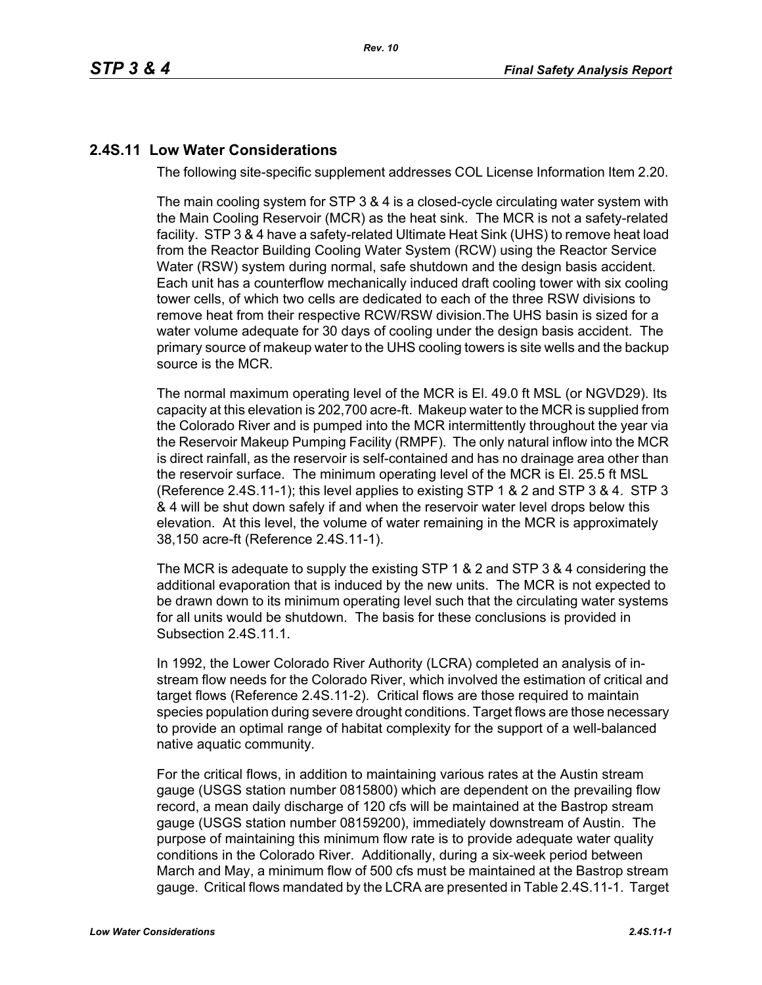# **2.4S.11 Low Water Considerations**

The following site-specific supplement addresses COL License Information Item 2.20.

The main cooling system for STP 3 & 4 is a closed-cycle circulating water system with the Main Cooling Reservoir (MCR) as the heat sink. The MCR is not a safety-related facility. STP 3 & 4 have a safety-related Ultimate Heat Sink (UHS) to remove heat load from the Reactor Building Cooling Water System (RCW) using the Reactor Service Water (RSW) system during normal, safe shutdown and the design basis accident. Each unit has a counterflow mechanically induced draft cooling tower with six cooling tower cells, of which two cells are dedicated to each of the three RSW divisions to remove heat from their respective RCW/RSW division.The UHS basin is sized for a water volume adequate for 30 days of cooling under the design basis accident. The primary source of makeup water to the UHS cooling towers is site wells and the backup source is the MCR.

The normal maximum operating level of the MCR is El. 49.0 ft MSL (or NGVD29). Its capacity at this elevation is 202,700 acre-ft. Makeup water to the MCR is supplied from the Colorado River and is pumped into the MCR intermittently throughout the year via the Reservoir Makeup Pumping Facility (RMPF). The only natural inflow into the MCR is direct rainfall, as the reservoir is self-contained and has no drainage area other than the reservoir surface. The minimum operating level of the MCR is El. 25.5 ft MSL (Reference [2.4S.11-1\)](#page-4-0); this level applies to existing STP 1 & 2 and STP 3 & 4. STP 3 & 4 will be shut down safely if and when the reservoir water level drops below this elevation. At this level, the volume of water remaining in the MCR is approximately 38,150 acre-ft (Reference [2.4S.11-1\)](#page-4-0).

The MCR is adequate to supply the existing STP 1 & 2 and STP 3 & 4 considering the additional evaporation that is induced by the new units. The MCR is not expected to be drawn down to its minimum operating level such that the circulating water systems for all units would be shutdown. The basis for these conclusions is provided in Subsection 2.4S.11.1.

In 1992, the Lower Colorado River Authority (LCRA) completed an analysis of instream flow needs for the Colorado River, which involved the estimation of critical and target flows (Reference [2.4S.11-2](#page-4-1)). Critical flows are those required to maintain species population during severe drought conditions. Target flows are those necessary to provide an optimal range of habitat complexity for the support of a well-balanced native aquatic community.

For the critical flows, in addition to maintaining various rates at the Austin stream gauge (USGS station number 0815800) which are dependent on the prevailing flow record, a mean daily discharge of 120 cfs will be maintained at the Bastrop stream gauge (USGS station number 08159200), immediately downstream of Austin. The purpose of maintaining this minimum flow rate is to provide adequate water quality conditions in the Colorado River. Additionally, during a six-week period between March and May, a minimum flow of 500 cfs must be maintained at the Bastrop stream gauge. Critical flows mandated by the LCRA are presented in Table [2.4S.11-1](#page-5-0). Target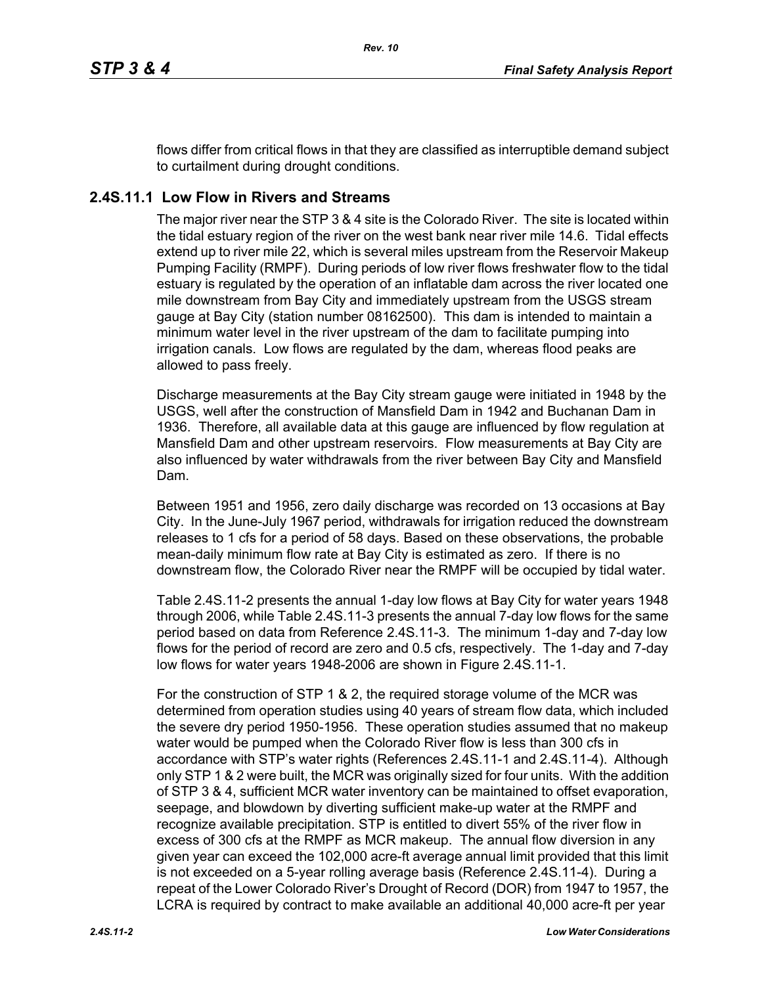flows differ from critical flows in that they are classified as interruptible demand subject to curtailment during drought conditions.

# **2.4S.11.1 Low Flow in Rivers and Streams**

The major river near the STP 3 & 4 site is the Colorado River. The site is located within the tidal estuary region of the river on the west bank near river mile 14.6. Tidal effects extend up to river mile 22, which is several miles upstream from the Reservoir Makeup Pumping Facility (RMPF). During periods of low river flows freshwater flow to the tidal estuary is regulated by the operation of an inflatable dam across the river located one mile downstream from Bay City and immediately upstream from the USGS stream gauge at Bay City (station number 08162500). This dam is intended to maintain a minimum water level in the river upstream of the dam to facilitate pumping into irrigation canals. Low flows are regulated by the dam, whereas flood peaks are allowed to pass freely.

Discharge measurements at the Bay City stream gauge were initiated in 1948 by the USGS, well after the construction of Mansfield Dam in 1942 and Buchanan Dam in 1936. Therefore, all available data at this gauge are influenced by flow regulation at Mansfield Dam and other upstream reservoirs. Flow measurements at Bay City are also influenced by water withdrawals from the river between Bay City and Mansfield Dam.

Between 1951 and 1956, zero daily discharge was recorded on 13 occasions at Bay City. In the June-July 1967 period, withdrawals for irrigation reduced the downstream releases to 1 cfs for a period of 58 days. Based on these observations, the probable mean-daily minimum flow rate at Bay City is estimated as zero. If there is no downstream flow, the Colorado River near the RMPF will be occupied by tidal water.

Table [2.4S.11-2](#page-6-0) presents the annual 1-day low flows at Bay City for water years 1948 through 2006, while Table [2.4S.11-3](#page-7-0) presents the annual 7-day low flows for the same period based on data from Reference [2.4S.11-3.](#page-4-2) The minimum 1-day and 7-day low flows for the period of record are zero and 0.5 cfs, respectively. The 1-day and 7-day low flows for water years 1948-2006 are shown in Figure [2.4S.11-1](#page-8-0).

For the construction of STP 1 & 2, the required storage volume of the MCR was determined from operation studies using 40 years of stream flow data, which included the severe dry period 1950-1956. These operation studies assumed that no makeup water would be pumped when the Colorado River flow is less than 300 cfs in accordance with STP's water rights (References [2.4S.11-1](#page-4-0) and [2.4S.11-4](#page-4-3)). Although only STP 1 & 2 were built, the MCR was originally sized for four units. With the addition of STP 3 & 4, sufficient MCR water inventory can be maintained to offset evaporation, seepage, and blowdown by diverting sufficient make-up water at the RMPF and recognize available precipitation. STP is entitled to divert 55% of the river flow in excess of 300 cfs at the RMPF as MCR makeup. The annual flow diversion in any given year can exceed the 102,000 acre-ft average annual limit provided that this limit is not exceeded on a 5-year rolling average basis (Reference [2.4S.11-4](#page-4-3)). During a repeat of the Lower Colorado River's Drought of Record (DOR) from 1947 to 1957, the LCRA is required by contract to make available an additional 40,000 acre-ft per year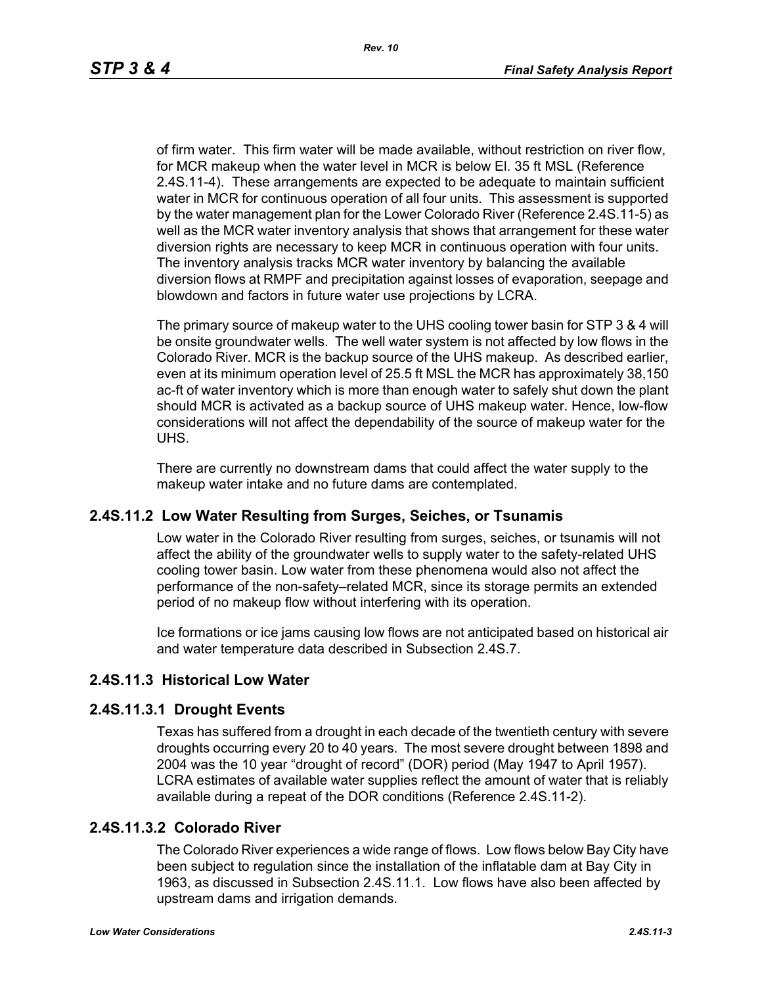of firm water. This firm water will be made available, without restriction on river flow, for MCR makeup when the water level in MCR is below El. 35 ft MSL (Reference [2.4S.11-4\)](#page-4-3). These arrangements are expected to be adequate to maintain sufficient water in MCR for continuous operation of all four units. This assessment is supported by the water management plan for the Lower Colorado River (Reference [2.4S.11-5](#page-4-4)) as well as the MCR water inventory analysis that shows that arrangement for these water diversion rights are necessary to keep MCR in continuous operation with four units. The inventory analysis tracks MCR water inventory by balancing the available diversion flows at RMPF and precipitation against losses of evaporation, seepage and blowdown and factors in future water use projections by LCRA.

The primary source of makeup water to the UHS cooling tower basin for STP 3 & 4 will be onsite groundwater wells. The well water system is not affected by low flows in the Colorado River. MCR is the backup source of the UHS makeup. As described earlier, even at its minimum operation level of 25.5 ft MSL the MCR has approximately 38,150 ac-ft of water inventory which is more than enough water to safely shut down the plant should MCR is activated as a backup source of UHS makeup water. Hence, low-flow considerations will not affect the dependability of the source of makeup water for the UHS.

There are currently no downstream dams that could affect the water supply to the makeup water intake and no future dams are contemplated.

### **2.4S.11.2 Low Water Resulting from Surges, Seiches, or Tsunamis**

Low water in the Colorado River resulting from surges, seiches, or tsunamis will not affect the ability of the groundwater wells to supply water to the safety-related UHS cooling tower basin. Low water from these phenomena would also not affect the performance of the non-safety–related MCR, since its storage permits an extended period of no makeup flow without interfering with its operation.

Ice formations or ice jams causing low flows are not anticipated based on historical air and water temperature data described in Subsection 2.4S.7.

# **2.4S.11.3 Historical Low Water**

### **2.4S.11.3.1 Drought Events**

Texas has suffered from a drought in each decade of the twentieth century with severe droughts occurring every 20 to 40 years. The most severe drought between 1898 and 2004 was the 10 year "drought of record" (DOR) period (May 1947 to April 1957). LCRA estimates of available water supplies reflect the amount of water that is reliably available during a repeat of the DOR conditions (Reference [2.4S.11-2\)](#page-4-1).

### **2.4S.11.3.2 Colorado River**

The Colorado River experiences a wide range of flows. Low flows below Bay City have been subject to regulation since the installation of the inflatable dam at Bay City in 1963, as discussed in Subsection 2.4S.11.1. Low flows have also been affected by upstream dams and irrigation demands.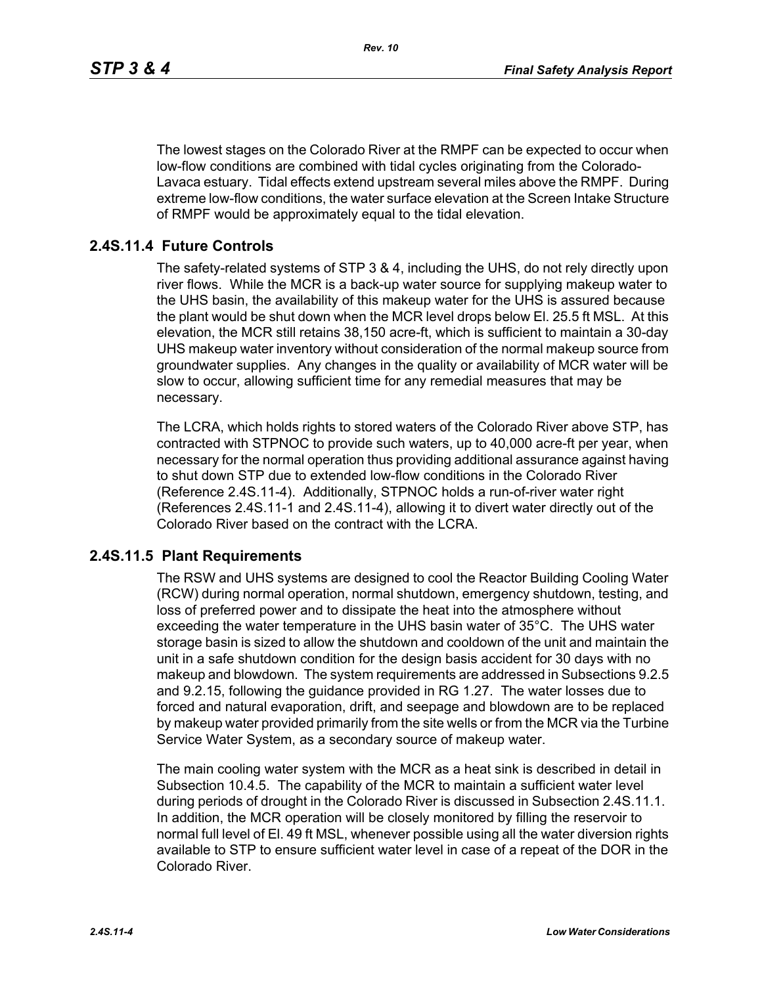The lowest stages on the Colorado River at the RMPF can be expected to occur when low-flow conditions are combined with tidal cycles originating from the Colorado-Lavaca estuary. Tidal effects extend upstream several miles above the RMPF. During extreme low-flow conditions, the water surface elevation at the Screen Intake Structure of RMPF would be approximately equal to the tidal elevation.

# **2.4S.11.4 Future Controls**

The safety-related systems of STP 3 & 4, including the UHS, do not rely directly upon river flows. While the MCR is a back-up water source for supplying makeup water to the UHS basin, the availability of this makeup water for the UHS is assured because the plant would be shut down when the MCR level drops below El. 25.5 ft MSL. At this elevation, the MCR still retains 38,150 acre-ft, which is sufficient to maintain a 30-day UHS makeup water inventory without consideration of the normal makeup source from groundwater supplies. Any changes in the quality or availability of MCR water will be slow to occur, allowing sufficient time for any remedial measures that may be necessary.

The LCRA, which holds rights to stored waters of the Colorado River above STP, has contracted with STPNOC to provide such waters, up to 40,000 acre-ft per year, when necessary for the normal operation thus providing additional assurance against having to shut down STP due to extended low-flow conditions in the Colorado River (Reference [2.4S.11-4\)](#page-4-3). Additionally, STPNOC holds a run-of-river water right (References [2.4S.11-1](#page-4-0) and [2.4S.11-4\)](#page-4-3), allowing it to divert water directly out of the Colorado River based on the contract with the LCRA.

### **2.4S.11.5 Plant Requirements**

The RSW and UHS systems are designed to cool the Reactor Building Cooling Water (RCW) during normal operation, normal shutdown, emergency shutdown, testing, and loss of preferred power and to dissipate the heat into the atmosphere without exceeding the water temperature in the UHS basin water of 35°C. The UHS water storage basin is sized to allow the shutdown and cooldown of the unit and maintain the unit in a safe shutdown condition for the design basis accident for 30 days with no makeup and blowdown. The system requirements are addressed in Subsections 9.2.5 and 9.2.15, following the guidance provided in RG 1.27. The water losses due to forced and natural evaporation, drift, and seepage and blowdown are to be replaced by makeup water provided primarily from the site wells or from the MCR via the Turbine Service Water System, as a secondary source of makeup water.

The main cooling water system with the MCR as a heat sink is described in detail in Subsection 10.4.5. The capability of the MCR to maintain a sufficient water level during periods of drought in the Colorado River is discussed in Subsection 2.4S.11.1. In addition, the MCR operation will be closely monitored by filling the reservoir to normal full level of El. 49 ft MSL, whenever possible using all the water diversion rights available to STP to ensure sufficient water level in case of a repeat of the DOR in the Colorado River.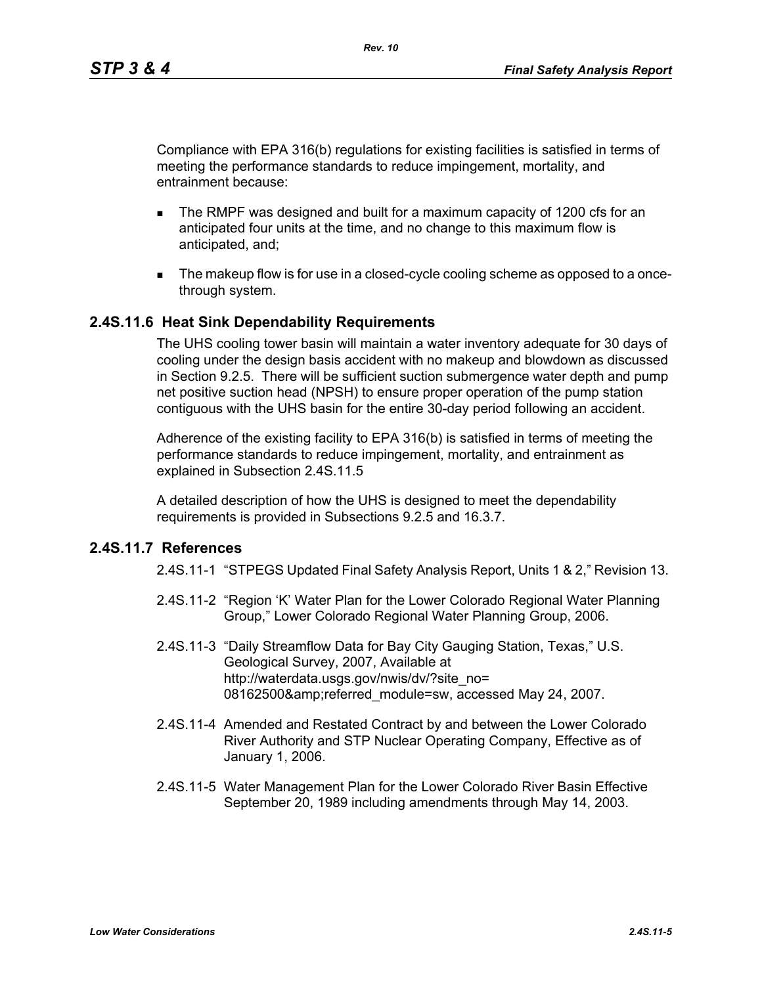Compliance with EPA 316(b) regulations for existing facilities is satisfied in terms of meeting the performance standards to reduce impingement, mortality, and entrainment because:

- The RMPF was designed and built for a maximum capacity of 1200 cfs for an anticipated four units at the time, and no change to this maximum flow is anticipated, and;
- The makeup flow is for use in a closed-cycle cooling scheme as opposed to a oncethrough system.

### **2.4S.11.6 Heat Sink Dependability Requirements**

The UHS cooling tower basin will maintain a water inventory adequate for 30 days of cooling under the design basis accident with no makeup and blowdown as discussed in Section 9.2.5. There will be sufficient suction submergence water depth and pump net positive suction head (NPSH) to ensure proper operation of the pump station contiguous with the UHS basin for the entire 30-day period following an accident.

Adherence of the existing facility to EPA 316(b) is satisfied in terms of meeting the performance standards to reduce impingement, mortality, and entrainment as explained in Subsection 2.4S.11.5

A detailed description of how the UHS is designed to meet the dependability requirements is provided in Subsections 9.2.5 and 16.3.7.

### <span id="page-4-1"></span><span id="page-4-0"></span>**2.4S.11.7 References**

2.4S.11-1 "STPEGS Updated Final Safety Analysis Report, Units 1 & 2," Revision 13.

- 2.4S.11-2 "Region 'K' Water Plan for the Lower Colorado Regional Water Planning Group," Lower Colorado Regional Water Planning Group, 2006.
- <span id="page-4-2"></span>2.4S.11-3 "Daily Streamflow Data for Bay City Gauging Station, Texas," U.S. Geological Survey, 2007, Available at http://waterdata.usgs.gov/nwis/dv/?site\_no= 08162500&referred\_module=sw, accessed May 24, 2007.
- <span id="page-4-3"></span>2.4S.11-4 Amended and Restated Contract by and between the Lower Colorado River Authority and STP Nuclear Operating Company, Effective as of January 1, 2006.
- <span id="page-4-4"></span>2.4S.11-5 Water Management Plan for the Lower Colorado River Basin Effective September 20, 1989 including amendments through May 14, 2003.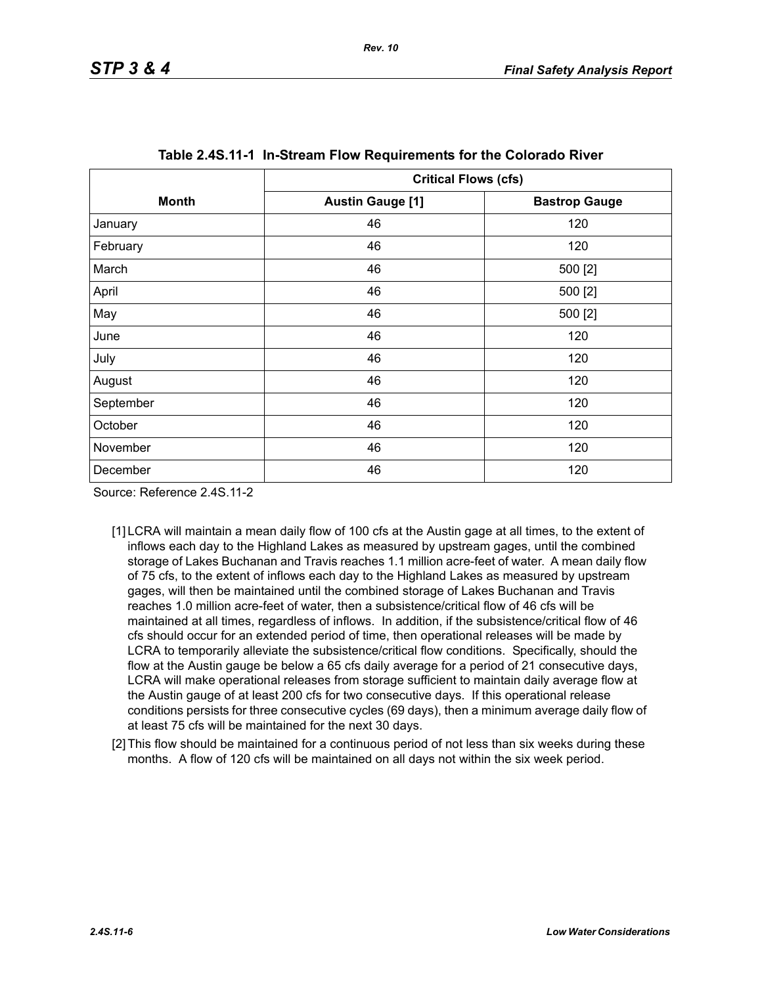<span id="page-5-0"></span>

|              | <b>Critical Flows (cfs)</b> |                      |  |  |
|--------------|-----------------------------|----------------------|--|--|
| <b>Month</b> | <b>Austin Gauge [1]</b>     | <b>Bastrop Gauge</b> |  |  |
| January      | 46                          | 120                  |  |  |
| February     | 46                          | 120                  |  |  |
| March        | 46                          | 500 [2]              |  |  |
| April        | 46                          | 500 [2]              |  |  |
| May          | 46                          | 500 [2]              |  |  |
| June         | 46                          | 120                  |  |  |
| July         | 46                          | 120                  |  |  |
| August       | 46                          | 120                  |  |  |
| September    | 46                          | 120                  |  |  |
| October      | 46                          | 120                  |  |  |
| November     | 46                          | 120                  |  |  |
| December     | 46                          | 120                  |  |  |

Source: Reference 2.4S.11-2

- [1] LCRA will maintain a mean daily flow of 100 cfs at the Austin gage at all times, to the extent of inflows each day to the Highland Lakes as measured by upstream gages, until the combined storage of Lakes Buchanan and Travis reaches 1.1 million acre-feet of water. A mean daily flow of 75 cfs, to the extent of inflows each day to the Highland Lakes as measured by upstream gages, will then be maintained until the combined storage of Lakes Buchanan and Travis reaches 1.0 million acre-feet of water, then a subsistence/critical flow of 46 cfs will be maintained at all times, regardless of inflows. In addition, if the subsistence/critical flow of 46 cfs should occur for an extended period of time, then operational releases will be made by LCRA to temporarily alleviate the subsistence/critical flow conditions. Specifically, should the flow at the Austin gauge be below a 65 cfs daily average for a period of 21 consecutive days, LCRA will make operational releases from storage sufficient to maintain daily average flow at the Austin gauge of at least 200 cfs for two consecutive days. If this operational release conditions persists for three consecutive cycles (69 days), then a minimum average daily flow of at least 75 cfs will be maintained for the next 30 days.
- <span id="page-5-1"></span>[2] This flow should be maintained for a continuous period of not less than six weeks during these months. A flow of 120 cfs will be maintained on all days not within the six week period.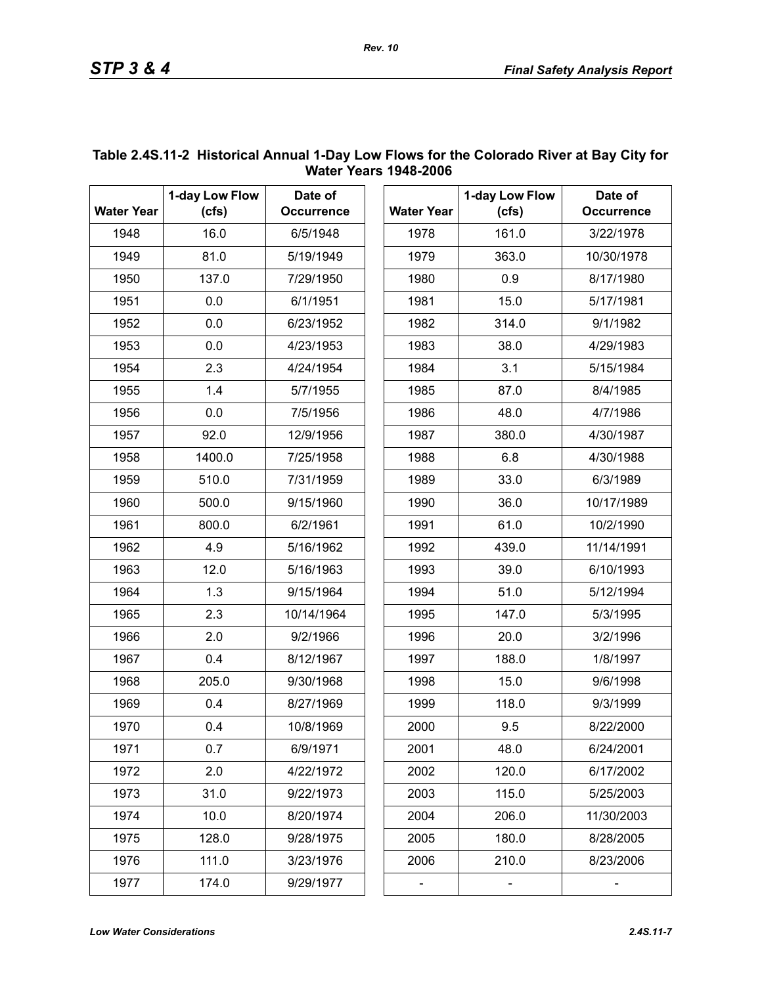|                   | 1-day Low Flow | Date of           |      | 1-day Low Flow    |       |
|-------------------|----------------|-------------------|------|-------------------|-------|
| <b>Water Year</b> | (cfs)          | <b>Occurrence</b> |      | <b>Water Year</b> | (cfs) |
| 1948              | 16.0           | 6/5/1948          |      | 1978              | 161.0 |
| 1949              | 81.0           | 5/19/1949         |      | 1979              | 363.0 |
| 1950              | 137.0          | 7/29/1950         |      | 1980              | 0.9   |
| 1951              | 0.0            | 6/1/1951          |      | 1981              | 15.0  |
| 1952              | 0.0            | 6/23/1952         |      | 1982              | 314.0 |
| 1953              | 0.0            | 4/23/1953         | 1983 |                   | 38.0  |
| 1954              | 2.3            | 4/24/1954         | 1984 |                   | 3.1   |
| 1955              | 1.4            | 5/7/1955          | 1985 |                   | 87.0  |
| 1956              | 0.0            | 7/5/1956          | 1986 |                   | 48.0  |
| 1957              | 92.0           | 12/9/1956         | 1987 |                   | 380.0 |
| 1958              | 1400.0         | 7/25/1958         | 1988 |                   | 6.8   |
| 1959              | 510.0          | 7/31/1959         | 1989 |                   | 33.0  |
| 1960              | 500.0          | 9/15/1960         | 1990 |                   | 36.0  |
| 1961              | 800.0          | 6/2/1961          | 1991 |                   | 61.0  |
| 1962              | 4.9            | 5/16/1962         | 1992 |                   | 439.0 |
| 1963              | 12.0           | 5/16/1963         | 1993 |                   | 39.0  |
| 1964              | 1.3            | 9/15/1964         | 1994 |                   | 51.0  |
| 1965              | 2.3            | 10/14/1964        | 1995 |                   | 147.0 |
| 1966              | 2.0            | 9/2/1966          | 1996 |                   | 20.0  |
| 1967              | 0.4            | 8/12/1967         | 1997 |                   | 188.0 |
| 1968              | 205.0          | 9/30/1968         | 1998 |                   | 15.0  |
| 1969              | 0.4            | 8/27/1969         | 1999 |                   | 118.0 |
| 1970              | 0.4            | 10/8/1969         | 2000 |                   | 9.5   |
| 1971              | 0.7            | 6/9/1971          | 2001 |                   | 48.0  |
| 1972              | 2.0            | 4/22/1972         | 2002 |                   | 120.0 |
| 1973              | 31.0           | 9/22/1973         | 2003 |                   | 115.0 |
| 1974              | 10.0           | 8/20/1974         | 2004 |                   | 206.0 |
| 1975              | 128.0          | 9/28/1975         | 2005 |                   | 180.0 |
| 1976              | 111.0          | 3/23/1976         | 2006 |                   | 210.0 |
| 1977              | 174.0          | 9/29/1977         |      |                   |       |

# <span id="page-6-0"></span>**Table 2.4S.11-2 Historical Annual 1-Day Low Flows for the Colorado River at Bay City for Water Years 1948-2006**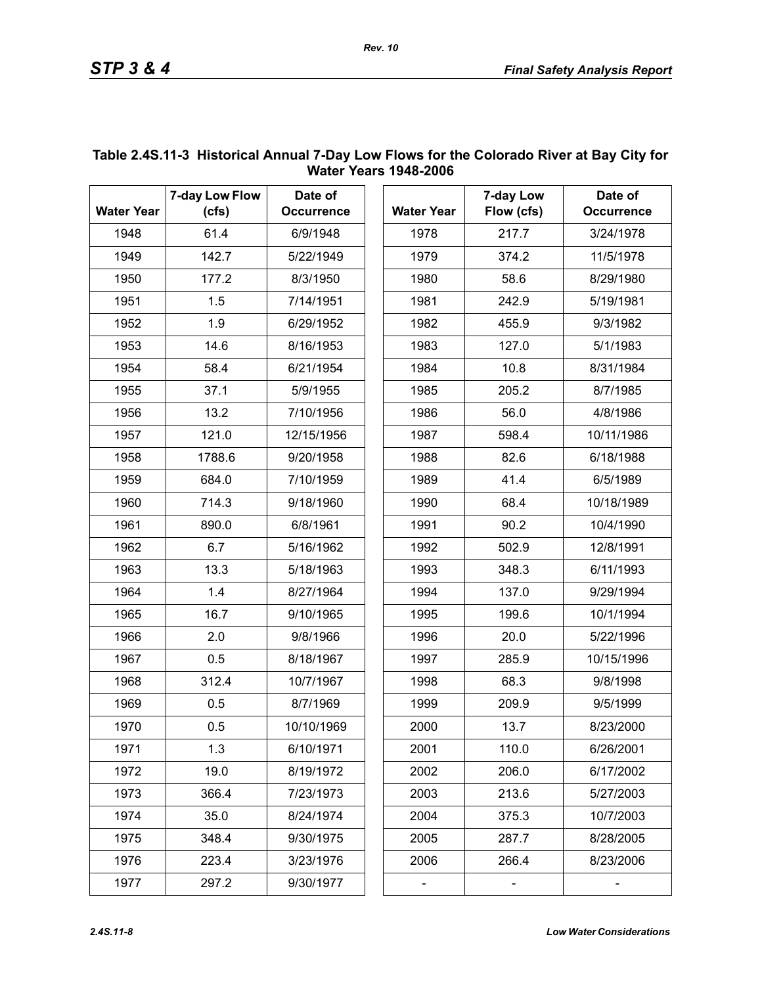| <b>Water Year</b> | 7-day Low Flow<br>(cfs) | Date of<br><b>Occurrence</b> | <b>Water Year</b> | 7-day Low<br>Flow (cfs) | Date of<br><b>Occurrence</b> |
|-------------------|-------------------------|------------------------------|-------------------|-------------------------|------------------------------|
| 1948              | 61.4                    | 6/9/1948                     | 1978              | 217.7                   | 3/24/1978                    |
| 1949              | 142.7                   | 5/22/1949                    | 1979              | 374.2                   | 11/5/1978                    |
| 1950              | 177.2                   | 8/3/1950                     | 1980              | 58.6                    | 8/29/1980                    |
| 1951              | 1.5                     | 7/14/1951                    | 1981              | 242.9                   | 5/19/1981                    |
| 1952              | 1.9                     | 6/29/1952                    | 1982              | 455.9                   | 9/3/1982                     |
| 1953              | 14.6                    | 8/16/1953                    | 1983              | 127.0                   | 5/1/1983                     |
| 1954              | 58.4                    | 6/21/1954                    | 1984              | 10.8                    | 8/31/1984                    |
| 1955              | 37.1                    | 5/9/1955                     | 1985              | 205.2                   | 8/7/1985                     |
| 1956              | 13.2                    | 7/10/1956                    | 1986              | 56.0                    | 4/8/1986                     |
| 1957              | 121.0                   | 12/15/1956                   | 1987              | 598.4                   | 10/11/1986                   |
| 1958              | 1788.6                  | 9/20/1958                    | 1988              | 82.6                    | 6/18/1988                    |
| 1959              | 684.0                   | 7/10/1959                    | 1989              | 41.4                    | 6/5/1989                     |
| 1960              | 714.3                   | 9/18/1960                    | 1990              | 68.4                    | 10/18/1989                   |
| 1961              | 890.0                   | 6/8/1961                     | 1991              | 90.2                    | 10/4/1990                    |
| 1962              | 6.7                     | 5/16/1962                    | 1992              | 502.9                   | 12/8/1991                    |
| 1963              | 13.3                    | 5/18/1963                    | 1993              | 348.3                   | 6/11/1993                    |
| 1964              | 1.4                     | 8/27/1964                    | 1994              | 137.0                   | 9/29/1994                    |
| 1965              | 16.7                    | 9/10/1965                    | 1995              | 199.6                   | 10/1/1994                    |
| 1966              | 2.0                     | 9/8/1966                     | 1996              | 20.0                    | 5/22/1996                    |
| 1967              | 0.5                     | 8/18/1967                    | 1997              | 285.9                   | 10/15/1996                   |
| 1968              | 312.4                   | 10/7/1967                    | 1998              | 68.3                    | 9/8/1998                     |
| 1969              | 0.5                     | 8/7/1969                     | 1999              | 209.9                   | 9/5/1999                     |
| 1970              | 0.5                     | 10/10/1969                   | 2000              | 13.7                    | 8/23/2000                    |
| 1971              | 1.3                     | 6/10/1971                    | 2001              | 110.0                   | 6/26/2001                    |
| 1972              | 19.0                    | 8/19/1972                    | 2002              | 206.0                   | 6/17/2002                    |
| 1973              | 366.4                   | 7/23/1973                    | 2003              | 213.6                   | 5/27/2003                    |
| 1974              | 35.0                    | 8/24/1974                    | 2004              | 375.3                   | 10/7/2003                    |
| 1975              | 348.4                   | 9/30/1975                    | 2005              | 287.7                   | 8/28/2005                    |
| 1976              | 223.4                   | 3/23/1976                    | 2006              | 266.4                   | 8/23/2006                    |
| 1977              | 297.2                   | 9/30/1977                    |                   |                         |                              |

## <span id="page-7-0"></span>**Table 2.4S.11-3 Historical Annual 7-Day Low Flows for the Colorado River at Bay City for Water Years 1948-2006**

*Rev. 10*